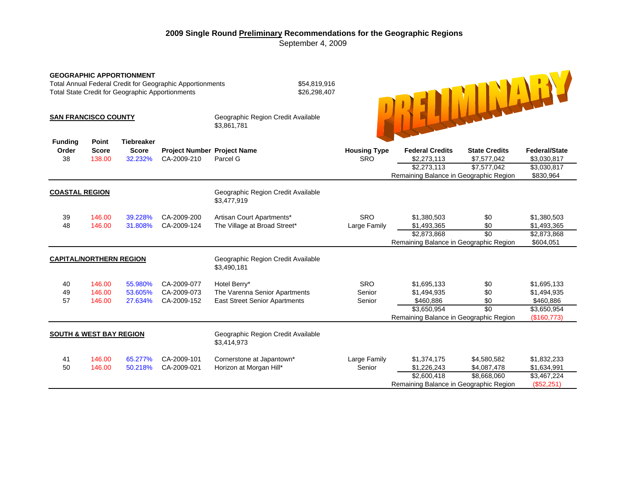## **2009 Single Round Preliminary Recommendations for the Geographic Regions**  September 4, 2009

| <b>GEOGRAPHIC APPORTIONMENT</b><br>Total Annual Federal Credit for Geographic Apportionments<br><b>Total State Credit for Geographic Apportionments</b> |                                 |                                              |                                            |                                                                                       | \$54,819,916<br>\$26,298,407      |                                                                                                  |                                                    |                                                                       |  |
|---------------------------------------------------------------------------------------------------------------------------------------------------------|---------------------------------|----------------------------------------------|--------------------------------------------|---------------------------------------------------------------------------------------|-----------------------------------|--------------------------------------------------------------------------------------------------|----------------------------------------------------|-----------------------------------------------------------------------|--|
| <b>SAN FRANCISCO COUNTY</b>                                                                                                                             |                                 |                                              |                                            | Geographic Region Credit Available<br>\$3,861,781                                     |                                   |                                                                                                  |                                                    |                                                                       |  |
| <b>Funding</b><br>Order<br>38                                                                                                                           | Point<br><b>Score</b><br>138.00 | <b>Tiebreaker</b><br><b>Score</b><br>32.232% | Project Number Project Name<br>CA-2009-210 | Parcel G                                                                              | <b>Housing Type</b><br><b>SRO</b> | <b>Federal Credits</b><br>\$2,273,113<br>\$2,273.113<br>Remaining Balance in Geographic Region   | <b>State Credits</b><br>\$7,577,042<br>\$7,577,042 | <b>Federal/State</b><br>\$3,030,817<br>\$3,030,817<br>\$830,964       |  |
| <b>COASTAL REGION</b>                                                                                                                                   |                                 |                                              |                                            | Geographic Region Credit Available<br>\$3,477,919                                     |                                   |                                                                                                  |                                                    |                                                                       |  |
| 39<br>48                                                                                                                                                | 146.00<br>146.00                | 39.228%<br>31.808%                           | CA-2009-200<br>CA-2009-124                 | Artisan Court Apartments*<br>The Village at Broad Street*                             | <b>SRO</b><br>Large Family        | \$1,380,503<br>\$1,493,365<br>\$2,873,868<br>Remaining Balance in Geographic Region              | \$0<br>\$0<br>\$0                                  | \$1,380,503<br>\$1,493,365<br>\$2,873,868<br>\$604,051                |  |
| <b>CAPITAL/NORTHERN REGION</b>                                                                                                                          |                                 |                                              |                                            | Geographic Region Credit Available<br>\$3,490,181                                     |                                   |                                                                                                  |                                                    |                                                                       |  |
| 40<br>49<br>57                                                                                                                                          | 146.00<br>146.00<br>146.00      | 55.980%<br>53.605%<br>27.634%                | CA-2009-077<br>CA-2009-073<br>CA-2009-152  | Hotel Berry*<br>The Varenna Senior Apartments<br><b>East Street Senior Apartments</b> | <b>SRO</b><br>Senior<br>Senior    | \$1,695,133<br>\$1,494,935<br>\$460,886<br>\$3,650,954<br>Remaining Balance in Geographic Region | \$0<br>\$0<br>\$0<br>$\overline{30}$               | \$1,695,133<br>\$1,494,935<br>\$460,886<br>\$3,650,954<br>(\$160,773) |  |
| <b>SOUTH &amp; WEST BAY REGION</b>                                                                                                                      |                                 |                                              |                                            | Geographic Region Credit Available<br>\$3,414,973                                     |                                   |                                                                                                  |                                                    |                                                                       |  |
| 41<br>50                                                                                                                                                | 146.00<br>146.00                | 65.277%<br>50.218%                           | CA-2009-101<br>CA-2009-021                 | Cornerstone at Japantown*<br>Horizon at Morgan Hill*                                  | Large Family<br>Senior            | \$1,374,175<br>\$1,226,243<br>\$2,600,418<br>Remaining Balance in Geographic Region              | \$4,580,582<br>\$4,087,478<br>\$8,668,060          | \$1,832,233<br>\$1,634,991<br>\$3,467,224<br>(\$52,251)               |  |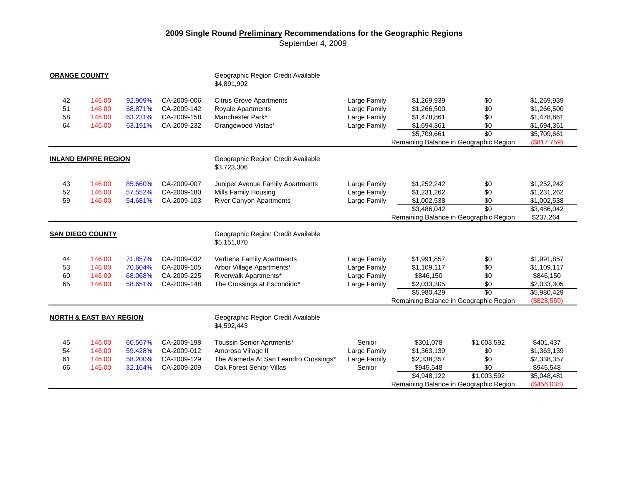## **2009 Single Round Preliminary Recommendations for the Geographic Regions**

September 4, 2009

| <b>ORANGE COUNTY</b>               |                  |         |                            | Geographic Region Credit Available                   |              |                                        |                 |                            |  |
|------------------------------------|------------------|---------|----------------------------|------------------------------------------------------|--------------|----------------------------------------|-----------------|----------------------------|--|
|                                    |                  |         |                            | \$4,891,902                                          |              |                                        |                 |                            |  |
| 42                                 | 146.00           | 92.909% | CA-2009-006                | <b>Citrus Grove Apartments</b>                       | Large Family | \$1,269,939                            | \$0             | \$1,269,939                |  |
| 51                                 | 146.00           | 68.871% | CA-2009-142                | Royale Apartments                                    | Large Family | \$1,266,500                            | \$0             | \$1,266,500                |  |
| 58                                 | 146.00           | 63.231% | CA-2009-158                | Manchester Park*                                     | Large Family | \$1,478,861                            | \$0             | \$1,478,861                |  |
| 64                                 | 146.00           | 63.191% | CA-2009-232                | Orangewood Vistas*                                   | Large Family | \$1,694,361                            | \$0             | \$1,694,361                |  |
|                                    |                  |         |                            |                                                      |              | \$5,709,661                            | \$0             | \$5,709,661                |  |
|                                    |                  |         |                            |                                                      |              | Remaining Balance in Geographic Region |                 | (\$817,759)                |  |
| <b>INLAND EMPIRE REGION</b>        |                  |         |                            | Geographic Region Credit Available                   |              |                                        |                 |                            |  |
|                                    |                  |         |                            | \$3,723,306                                          |              |                                        |                 |                            |  |
| 43                                 | 146.00           | 85.660% | CA-2009-007                | Juniper Avenue Family Apartments                     | Large Family | \$1,252,242                            | \$0             | \$1,252,242                |  |
| 52                                 | 146.00           | 57.552% | CA-2009-180                | Mills Family Housing                                 | Large Family | \$1,231,262                            | \$0             | \$1,231,262                |  |
| 59                                 | 146.00           | 54.681% | CA-2009-103                | <b>River Canyon Apartments</b>                       | Large Family | \$1,002,538                            | \$0             | \$1,002,538                |  |
|                                    |                  |         |                            |                                                      |              | \$3,486,042                            | $\overline{30}$ | \$3,486,042                |  |
|                                    |                  |         |                            |                                                      |              | Remaining Balance in Geographic Region |                 | \$237,264                  |  |
| <b>SAN DIEGO COUNTY</b>            |                  |         |                            | Geographic Region Credit Available<br>\$5,151,870    |              |                                        |                 |                            |  |
|                                    |                  |         |                            |                                                      |              |                                        |                 |                            |  |
| 44                                 | 146.00           | 71.857% | CA-2009-032                | Verbena Family Apartments                            | Large Family | \$1,991,857                            | \$0             | \$1,991,857                |  |
| 53<br>60                           | 146.00           | 70.604% | CA-2009-105<br>CA-2009-225 | Arbor Village Apartments*                            | Large Family | \$1,109,117                            | \$0             | \$1,109,117                |  |
| 65                                 | 146.00<br>146.00 | 68.068% | CA-2009-148                | Riverwalk Apartments*<br>The Crossings at Escondido* | Large Family | \$846,150                              | \$0             | \$846,150                  |  |
|                                    |                  | 58.651% |                            |                                                      | Large Family | \$2,033,305<br>\$5,980,429             | \$0<br>\$0      | \$2,033,305<br>\$5,980,429 |  |
|                                    |                  |         |                            |                                                      |              | Remaining Balance in Geographic Region |                 | (\$828,559)                |  |
|                                    |                  |         |                            |                                                      |              |                                        |                 |                            |  |
| <b>NORTH &amp; EAST BAY REGION</b> |                  |         |                            | Geographic Region Credit Available<br>\$4,592,443    |              |                                        |                 |                            |  |
| 45                                 | 146.00           | 60.567% | CA-2009-198                | Toussin Senior Aprtments*                            | Senior       | \$301,078                              | \$1,003,592     | \$401,437                  |  |
| 54                                 | 146.00           | 59.428% | CA-2009-012                | Amorosa Village II                                   | Large Family | \$1,363,139                            | \$0             | \$1,363,139                |  |
| 61                                 | 146.00           | 58.200% | CA-2009-129                | The Alameda At San Leandro Crossings*                | Large Family | \$2,338,357                            | \$0             | \$2,338,357                |  |
| 66                                 | 145.00           | 32.164% | CA-2009-209                | Oak Forest Senior Villas                             | Senior       | \$945,548                              | \$0             | \$945,548                  |  |
|                                    |                  |         |                            |                                                      |              | \$4,948,122                            | \$1,003,592     | $\overline{$5,048,481}$    |  |
|                                    |                  |         |                            |                                                      |              | Remaining Balance in Geographic Region |                 | (\$456,038)                |  |